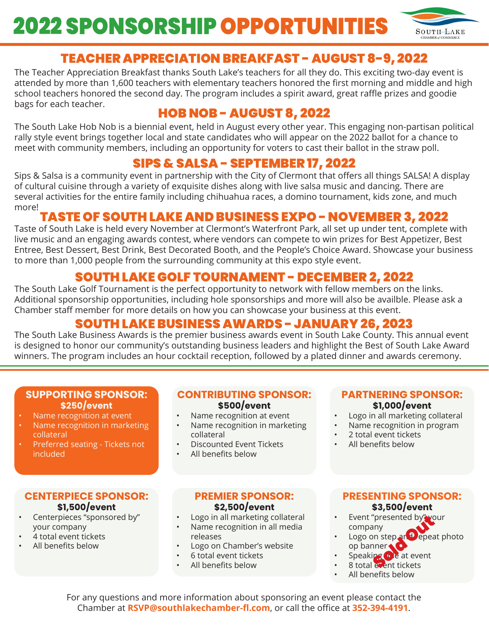# **2022 SPONSORSHIP OPPORTUNITIES**



# TEACHER APPRECIATION BREAKFAST - AUGUST 8-9, 2022

The Teacher Appreciation Breakfast thanks South Lake's teachers for all they do. This exciting two-day event is attended by more than 1,600 teachers with elementary teachers honored the first morning and middle and high school teachers honored the second day. The program includes a spirit award, great raffle prizes and goodie bags for each teacher.

# HOB NOB - AUGUST 8, 2022

The South Lake Hob Nob is a biennial event, held in August every other year. This engaging non-partisan political rally style event brings together local and state candidates who will appear on the 2022 ballot for a chance to meet with community members, including an opportunity for voters to cast their ballot in the straw poll.

# SIPS & SALSA - SEPTEMBER 17, 2022

Sips & Salsa is a community event in partnership with the City of Clermont that offers all things SALSA! A display of cultural cuisine through a variety of exquisite dishes along with live salsa music and dancing. There are several activities for the entire family including chihuahua races, a domino tournament, kids zone, and much more!

## TASTE OF SOUTH LAKE AND BUSINESS EXPO - NOVEMBER 3, 2022

Taste of South Lake is held every November at Clermont's Waterfront Park, all set up under tent, complete with live music and an engaging awards contest, where vendors can compete to win prizes for Best Appetizer, Best Entree, Best Dessert, Best Drink, Best Decorated Booth, and the People's Choice Award. Showcase your business to more than 1,000 people from the surrounding community at this expo style event.

## SOUTH LAKE GOLF TOURNAMENT - DECEMBER 2, 2022

The South Lake Golf Tournament is the perfect opportunity to network with fellow members on the links. Additional sponsorship opportunities, including hole sponsorships and more will also be availble. Please ask a Chamber staff member for more details on how you can showcase your business at this event.

## SOUTH LAKE BUSINESS AWARDS - JANUARY 26, 2023

The South Lake Business Awards is the premier business awards event in South Lake County. This annual event is designed to honor our community's outstanding business leaders and highlight the Best of South Lake Award winners. The program includes an hour cocktail reception, followed by a plated dinner and awards ceremony.

#### **SUPPORTING SPONSOR: \$250/event**

- Name recognition at event
- Name recognition in marketing collateral
- Preferred seating Tickets not included

### **CENTERPIECE SPONSOR: \$1,500/event**

- Centerpieces "sponsored by" your company
- 4 total event tickets
- All benefits below

#### **CONTRIBUTING SPONSOR: \$500/event**

- Name recognition at event
- Name recognition in marketing collateral
- Discounted Event Tickets
- All benefits below

### **PREMIER SPONSOR: \$2,500/event**

- Logo in all marketing collateral
- Name recognition in all media releases
- Logo on Chamber's website
- 6 total event tickets
- All benefits below

#### **PARTNERING SPONSOR: \$1,000/event**

- Logo in all marketing collateral
- Name recognition in program
- 2 total event tickets
- All benefits below

## **PRESENTING SPONSOR: \$3,500/event**

- Event "presented by" your company
- Logo on step and repeat photo op banner "presented by We<br>siny<br>on step at Depea<br>ipg o le at event<br>exent tickets
- Speaking **o** e at event
- 8 total event tickets
- All benefits below

For any questions and more information about sponsoring an event please contact the Chamber at **RSVP@southlakechamber-fl.com**, or call the office at **352-394-4191**.